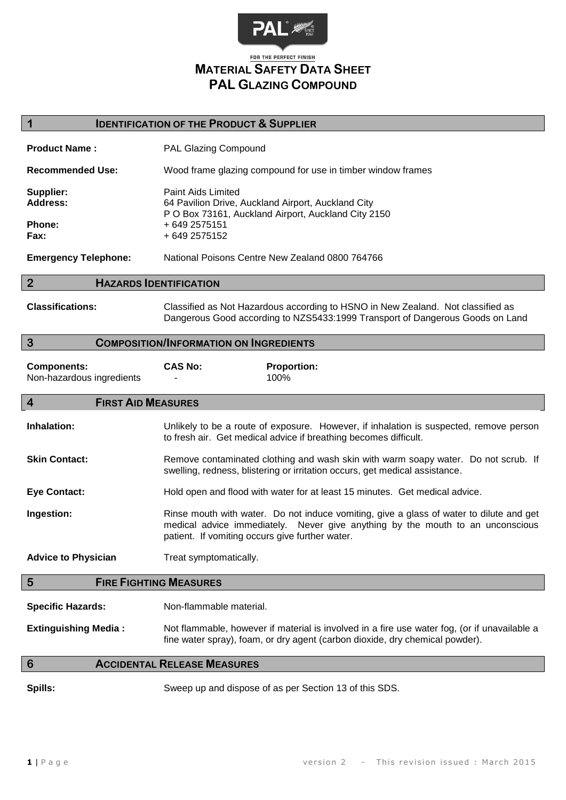

## FOR THE PERFECT FINISH **MATERIAL SAFETY DATA SHEET PAL GLAZING COMPOUND**

#### **1 IDENTIFICATION OF THE PRODUCT & SUPPLIER**

| <b>Product Name:</b>                    | PAL Glazing Compound                                                                                                                                              |
|-----------------------------------------|-------------------------------------------------------------------------------------------------------------------------------------------------------------------|
| <b>Recommended Use:</b>                 | Wood frame glazing compound for use in timber window frames                                                                                                       |
| Supplier:<br>Address:<br>Phone:<br>Fax: | Paint Aids Limited<br>64 Pavilion Drive, Auckland Airport, Auckland City<br>P O Box 73161, Auckland Airport, Auckland City 2150<br>+ 649 2575151<br>+ 649 2575152 |
| <b>Emergency Telephone:</b>             | National Poisons Centre New Zealand 0800 764766                                                                                                                   |

#### **2 HAZARDS IDENTIFICATION**

**Classifications:** Classified as Not Hazardous according to HSNO in New Zealand. Not classified as Dangerous Good according to NZS5433:1999 Transport of Dangerous Goods on Land

#### **3 COMPOSITION/INFORMATION ON INGREDIENTS**

| <b>Components:</b>        | <b>CAS No:</b> | <b>Proportion:</b> |
|---------------------------|----------------|--------------------|
| Non-hazardous ingredients |                | 100%               |

#### **4 FIRST AID MEASURES**

**Inhalation:** Unlikely to be a route of exposure. However, if inhalation is suspected, remove person to fresh air. Get medical advice if breathing becomes difficult.

**Skin Contact:** Remove contaminated clothing and wash skin with warm soapy water. Do not scrub. If swelling, redness, blistering or irritation occurs, get medical assistance.

**Eye Contact:** Hold open and flood with water for at least 15 minutes. Get medical advice.

**Ingestion:** Rinse mouth with water. Do not induce vomiting, give a glass of water to dilute and get medical advice immediately. Never give anything by the mouth to an unconscious patient. If vomiting occurs give further water.

Advice to Physician Treat symptomatically.

#### **5 FIRE FIGHTING MEASURES**

**Specific Hazards:** Non-flammable material.

**Extinguishing Media :** Not flammable, however if material is involved in a fire use water fog, (or if unavailable a fine water spray), foam, or dry agent (carbon dioxide, dry chemical powder).

#### **6 ACCIDENTAL RELEASE MEASURES**

**Spills:** Sweep up and dispose of as per Section 13 of this SDS.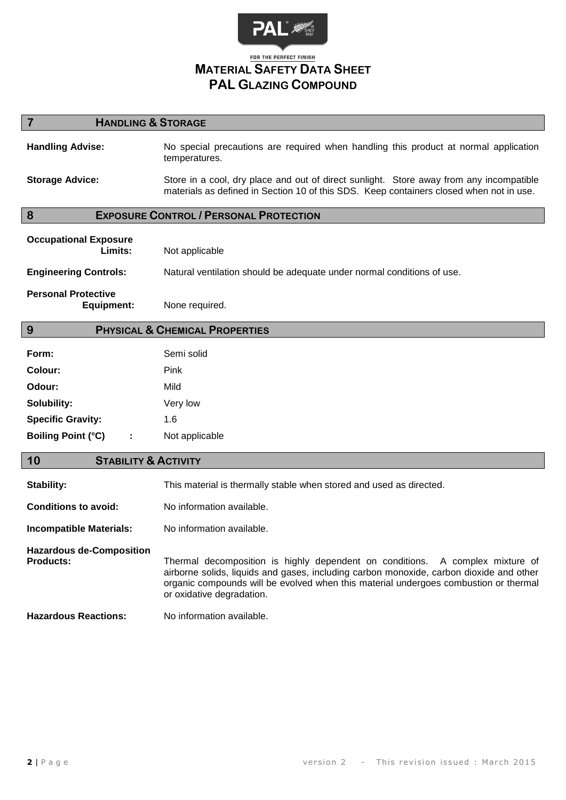

# **MATERIAL SAFETY DATA SHEET PAL GLAZING COMPOUND**

## **7 HANDLING & STORAGE**

**Handling Advise:** No special precautions are required when handling this product at normal application temperatures. **Storage Advice:** Store in a cool, dry place and out of direct sunlight. Store away from any incompatible materials as defined in Section 10 of this SDS. Keep containers closed when not in use.

### **8 EXPOSURE CONTROL / PERSONAL PROTECTION**

| <b>Occupational Exposure</b><br>Limits:  | Not applicable                                                         |
|------------------------------------------|------------------------------------------------------------------------|
| <b>Engineering Controls:</b>             | Natural ventilation should be adequate under normal conditions of use. |
| <b>Personal Protective</b><br>Equipment: | None required.                                                         |

#### **9 PHYSICAL & CHEMICAL PROPERTIES**

| Form:                     | Semi solid     |
|---------------------------|----------------|
| Colour:                   | Pink           |
| Odour:                    | Mild           |
| Solubility:               | Very low       |
| <b>Specific Gravity:</b>  | 1.6            |
| <b>Boiling Point (°C)</b> | Not applicable |

### **10 STABILITY & ACTIVITY**

| Stability:                                          | This material is thermally stable when stored and used as directed.                                                                                                                                                                                                                           |
|-----------------------------------------------------|-----------------------------------------------------------------------------------------------------------------------------------------------------------------------------------------------------------------------------------------------------------------------------------------------|
| <b>Conditions to avoid:</b>                         | No information available.                                                                                                                                                                                                                                                                     |
| <b>Incompatible Materials:</b>                      | No information available.                                                                                                                                                                                                                                                                     |
| <b>Hazardous de-Composition</b><br><b>Products:</b> | Thermal decomposition is highly dependent on conditions. A complex mixture of<br>airborne solids, liquids and gases, including carbon monoxide, carbon dioxide and other<br>organic compounds will be evolved when this material undergoes combustion or thermal<br>or oxidative degradation. |
| <b>Hazardous Reactions:</b>                         | No information available.                                                                                                                                                                                                                                                                     |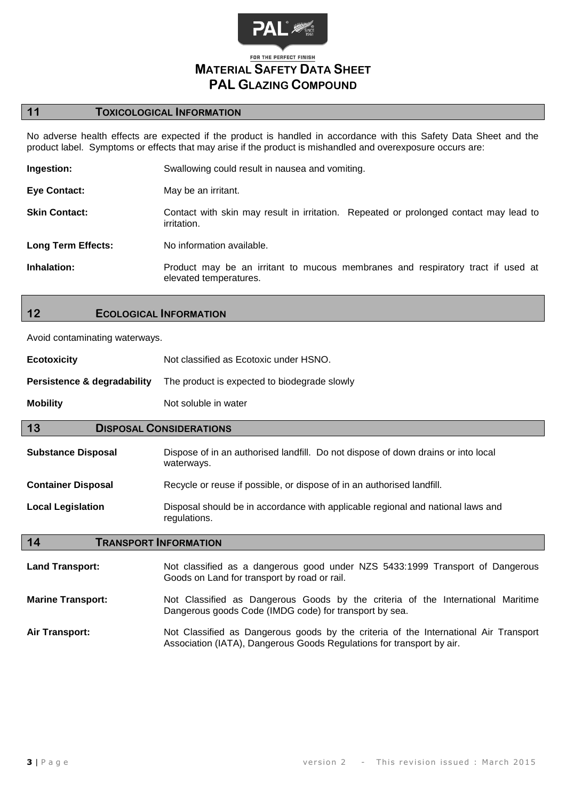

## **11 TOXICOLOGICAL INFORMATION**

No adverse health effects are expected if the product is handled in accordance with this Safety Data Sheet and the product label. Symptoms or effects that may arise if the product is mishandled and overexposure occurs are:

| Ingestion:                | Swallowing could result in nausea and vomiting.                                                           |
|---------------------------|-----------------------------------------------------------------------------------------------------------|
| <b>Eye Contact:</b>       | May be an irritant.                                                                                       |
| <b>Skin Contact:</b>      | Contact with skin may result in irritation. Repeated or prolonged contact may lead to<br>irritation.      |
| <b>Long Term Effects:</b> | No information available.                                                                                 |
| Inhalation:               | Product may be an irritant to mucous membranes and respiratory tract if used at<br>elevated temperatures. |

### **12 ECOLOGICAL INFORMATION**

Avoid contaminating waterways.

| <b>Ecotoxicity</b>                     | Not classified as Ecotoxic under HSNO.                                                                                                    |  |
|----------------------------------------|-------------------------------------------------------------------------------------------------------------------------------------------|--|
| <b>Persistence &amp; degradability</b> | The product is expected to biodegrade slowly                                                                                              |  |
| <b>Mobility</b>                        | Not soluble in water                                                                                                                      |  |
| 13<br><b>DISPOSAL CONSIDERATIONS</b>   |                                                                                                                                           |  |
| <b>Substance Disposal</b>              | Dispose of in an authorised landfill. Do not dispose of down drains or into local<br>waterways.                                           |  |
| <b>Container Disposal</b>              | Recycle or reuse if possible, or dispose of in an authorised landfill.                                                                    |  |
| <b>Local Legislation</b>               | Disposal should be in accordance with applicable regional and national laws and<br>regulations.                                           |  |
| 14<br><b>TRANSPORT INFORMATION</b>     |                                                                                                                                           |  |
| <b>Land Transport:</b>                 | Not classified as a dangerous good under NZS 5433:1999 Transport of Dangerous<br>Goods on Land for transport by road or rail.             |  |
| <b>Marine Transport:</b>               | Not Classified as Dangerous Goods by the criteria of the International Maritime<br>Dangerous goods Code (IMDG code) for transport by sea. |  |
| <b>Air Transport:</b>                  | Not Classified as Dangerous goods by the criteria of the International Air Transport                                                      |  |

Association (IATA), Dangerous Goods Regulations for transport by air.